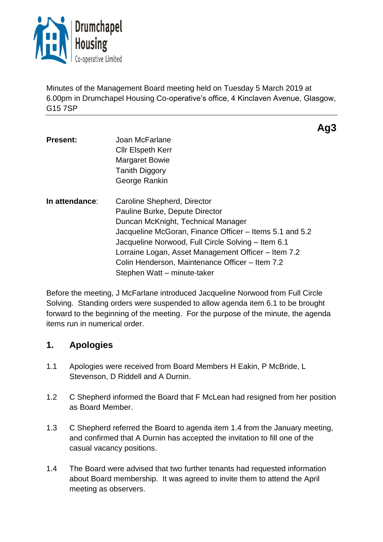

Minutes of the Management Board meeting held on Tuesday 5 March 2019 at 6.00pm in Drumchapel Housing Co-operative's office, 4 Kinclaven Avenue, Glasgow, G15 7SP

**Ag3**

**Present:** Joan McFarlane Cllr Elspeth Kerr Margaret Bowie Tanith Diggory George Rankin **In attendance**: Caroline Shepherd, Director Pauline Burke, Depute Director Duncan McKnight, Technical Manager Jacqueline McGoran, Finance Officer – Items 5.1 and 5.2 Jacqueline Norwood, Full Circle Solving – Item 6.1 Lorraine Logan, Asset Management Officer – Item 7.2 Colin Henderson, Maintenance Officer – Item 7.2 Stephen Watt – minute-taker

Before the meeting, J McFarlane introduced Jacqueline Norwood from Full Circle Solving. Standing orders were suspended to allow agenda item 6.1 to be brought forward to the beginning of the meeting. For the purpose of the minute, the agenda items run in numerical order.

# **1. Apologies**

- 1.1 Apologies were received from Board Members H Eakin, P McBride, L Stevenson, D Riddell and A Durnin.
- 1.2 C Shepherd informed the Board that F McLean had resigned from her position as Board Member.
- 1.3 C Shepherd referred the Board to agenda item 1.4 from the January meeting, and confirmed that A Durnin has accepted the invitation to fill one of the casual vacancy positions.
- 1.4 The Board were advised that two further tenants had requested information about Board membership. It was agreed to invite them to attend the April meeting as observers.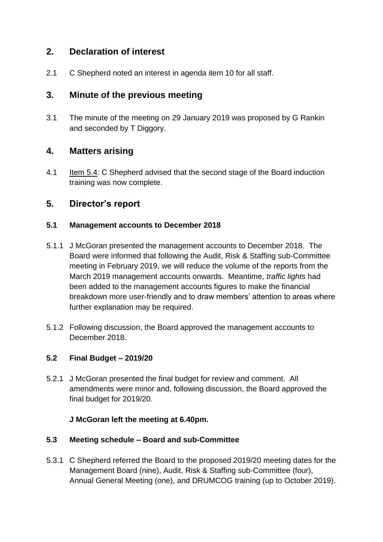# **2. Declaration of interest**

2.1 C Shepherd noted an interest in agenda item 10 for all staff.

# **3. Minute of the previous meeting**

3.1 The minute of the meeting on 29 January 2019 was proposed by G Rankin and seconded by T Diggory.

## **4. Matters arising**

4.1 Item 5.4: C Shepherd advised that the second stage of the Board induction training was now complete.

## **5. Director's report**

#### **5.1 Management accounts to December 2018**

- 5.1.1 J McGoran presented the management accounts to December 2018. The Board were informed that following the Audit, Risk & Staffing sub-Committee meeting in February 2019, we will reduce the volume of the reports from the March 2019 management accounts onwards. Meantime, *traffic lights* had been added to the management accounts figures to make the financial breakdown more user-friendly and to draw members' attention to areas where further explanation may be required.
- 5.1.2 Following discussion, the Board approved the management accounts to December 2018.

### **5.2 Final Budget – 2019/20**

5.2.1 J McGoran presented the final budget for review and comment. All amendments were minor and, following discussion, the Board approved the final budget for 2019/20.

### **J McGoran left the meeting at 6.40pm.**

### **5.3 Meeting schedule – Board and sub-Committee**

5.3.1 C Shepherd referred the Board to the proposed 2019/20 meeting dates for the Management Board (nine), Audit, Risk & Staffing sub-Committee (four), Annual General Meeting (one), and DRUMCOG training (up to October 2019).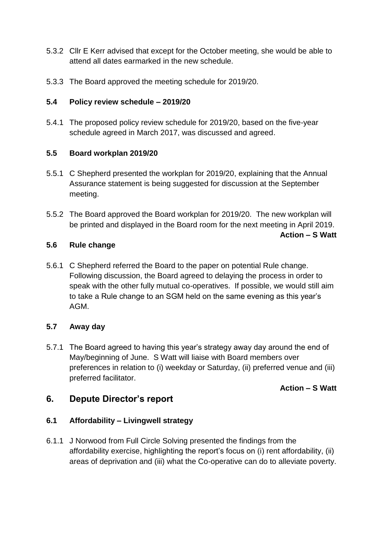- 5.3.2 Cllr E Kerr advised that except for the October meeting, she would be able to attend all dates earmarked in the new schedule.
- 5.3.3 The Board approved the meeting schedule for 2019/20.

### **5.4 Policy review schedule – 2019/20**

5.4.1 The proposed policy review schedule for 2019/20, based on the five-year schedule agreed in March 2017, was discussed and agreed.

### **5.5 Board workplan 2019/20**

- 5.5.1 C Shepherd presented the workplan for 2019/20, explaining that the Annual Assurance statement is being suggested for discussion at the September meeting.
- 5.5.2 The Board approved the Board workplan for 2019/20. The new workplan will be printed and displayed in the Board room for the next meeting in April 2019.

**Action – S Watt** 

### **5.6 Rule change**

5.6.1 C Shepherd referred the Board to the paper on potential Rule change. Following discussion, the Board agreed to delaying the process in order to speak with the other fully mutual co-operatives. If possible, we would still aim to take a Rule change to an SGM held on the same evening as this year's AGM.

### **5.7 Away day**

5.7.1 The Board agreed to having this year's strategy away day around the end of May/beginning of June. S Watt will liaise with Board members over preferences in relation to (i) weekday or Saturday, (ii) preferred venue and (iii) preferred facilitator.

### **Action – S Watt**

# **6. Depute Director's report**

### **6.1 Affordability – Livingwell strategy**

6.1.1 J Norwood from Full Circle Solving presented the findings from the affordability exercise, highlighting the report's focus on (i) rent affordability, (ii) areas of deprivation and (iii) what the Co-operative can do to alleviate poverty.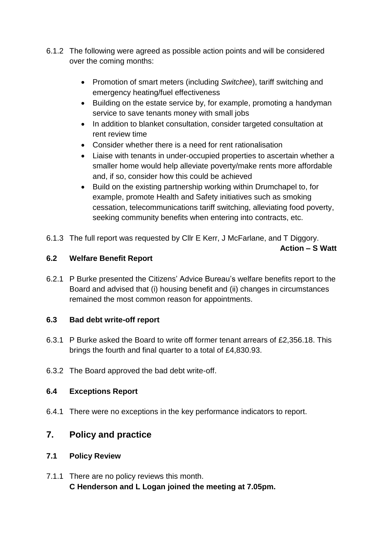- 6.1.2 The following were agreed as possible action points and will be considered over the coming months:
	- Promotion of smart meters (including *Switchee*), tariff switching and emergency heating/fuel effectiveness
	- Building on the estate service by, for example, promoting a handyman service to save tenants money with small jobs
	- In addition to blanket consultation, consider targeted consultation at rent review time
	- Consider whether there is a need for rent rationalisation
	- Liaise with tenants in under-occupied properties to ascertain whether a smaller home would help alleviate poverty/make rents more affordable and, if so, consider how this could be achieved
	- Build on the existing partnership working within Drumchapel to, for example, promote Health and Safety initiatives such as smoking cessation, telecommunications tariff switching, alleviating food poverty, seeking community benefits when entering into contracts, etc.
- 6.1.3 The full report was requested by Cllr E Kerr, J McFarlane, and T Diggory.

**Action – S Watt**

### **6.2 Welfare Benefit Report**

6.2.1 P Burke presented the Citizens' Advice Bureau's welfare benefits report to the Board and advised that (i) housing benefit and (ii) changes in circumstances remained the most common reason for appointments.

### **6.3 Bad debt write-off report**

- 6.3.1 P Burke asked the Board to write off former tenant arrears of £2,356.18. This brings the fourth and final quarter to a total of £4,830.93.
- 6.3.2 The Board approved the bad debt write-off.

### **6.4 Exceptions Report**

6.4.1 There were no exceptions in the key performance indicators to report.

# **7. Policy and practice**

### **7.1 Policy Review**

7.1.1 There are no policy reviews this month. **C Henderson and L Logan joined the meeting at 7.05pm.**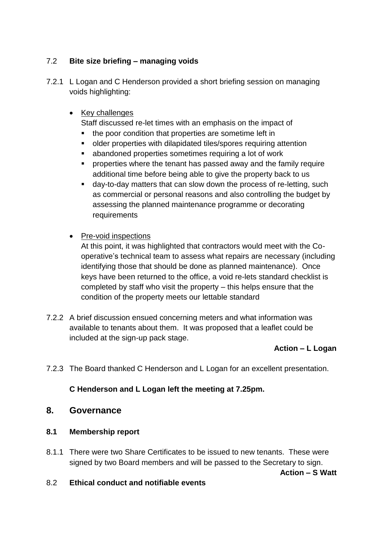### 7.2 **Bite size briefing – managing voids**

7.2.1 L Logan and C Henderson provided a short briefing session on managing voids highlighting:

### • Key challenges

Staff discussed re-let times with an emphasis on the impact of

- the poor condition that properties are sometime left in
- older properties with dilapidated tiles/spores requiring attention
- abandoned properties sometimes requiring a lot of work
- **•** properties where the tenant has passed away and the family require additional time before being able to give the property back to us
- day-to-day matters that can slow down the process of re-letting, such as commercial or personal reasons and also controlling the budget by assessing the planned maintenance programme or decorating requirements
- Pre-void inspections

At this point, it was highlighted that contractors would meet with the Cooperative's technical team to assess what repairs are necessary (including identifying those that should be done as planned maintenance). Once keys have been returned to the office, a void re-lets standard checklist is completed by staff who visit the property – this helps ensure that the condition of the property meets our lettable standard

7.2.2 A brief discussion ensued concerning meters and what information was available to tenants about them. It was proposed that a leaflet could be included at the sign-up pack stage.

### **Action – L Logan**

7.2.3 The Board thanked C Henderson and L Logan for an excellent presentation.

### **C Henderson and L Logan left the meeting at 7.25pm.**

### **8. Governance**

### **8.1 Membership report**

8.1.1 There were two Share Certificates to be issued to new tenants. These were signed by two Board members and will be passed to the Secretary to sign.

**Action – S Watt**

8.2 **Ethical conduct and notifiable events**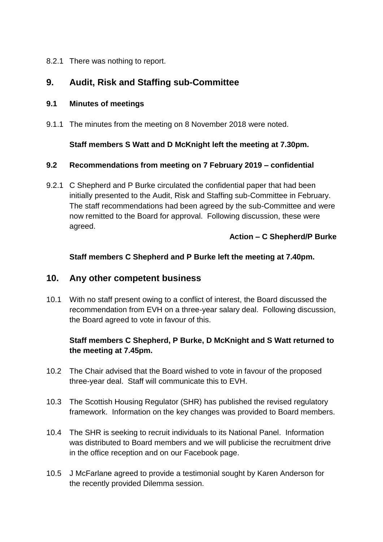8.2.1 There was nothing to report.

# **9. Audit, Risk and Staffing sub-Committee**

#### **9.1 Minutes of meetings**

9.1.1 The minutes from the meeting on 8 November 2018 were noted.

### **Staff members S Watt and D McKnight left the meeting at 7.30pm.**

#### **9.2 Recommendations from meeting on 7 February 2019 – confidential**

9.2.1 C Shepherd and P Burke circulated the confidential paper that had been initially presented to the Audit, Risk and Staffing sub-Committee in February. The staff recommendations had been agreed by the sub-Committee and were now remitted to the Board for approval. Following discussion, these were agreed.

### **Action – C Shepherd/P Burke**

### **Staff members C Shepherd and P Burke left the meeting at 7.40pm.**

### **10. Any other competent business**

10.1 With no staff present owing to a conflict of interest, the Board discussed the recommendation from EVH on a three-year salary deal. Following discussion, the Board agreed to vote in favour of this.

### **Staff members C Shepherd, P Burke, D McKnight and S Watt returned to the meeting at 7.45pm.**

- 10.2 The Chair advised that the Board wished to vote in favour of the proposed three-year deal. Staff will communicate this to EVH.
- 10.3 The Scottish Housing Regulator (SHR) has published the revised regulatory framework. Information on the key changes was provided to Board members.
- 10.4 The SHR is seeking to recruit individuals to its National Panel. Information was distributed to Board members and we will publicise the recruitment drive in the office reception and on our Facebook page.
- 10.5 J McFarlane agreed to provide a testimonial sought by Karen Anderson for the recently provided Dilemma session.